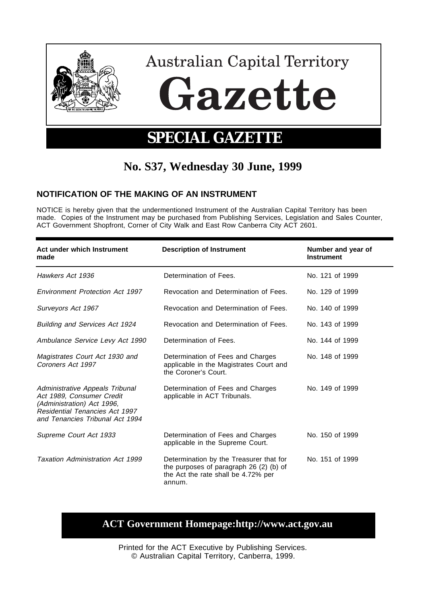

# **No. S37, Wednesday 30 June, 1999**

## **NOTIFICATION OF THE MAKING OF AN INSTRUMENT**

NOTICE is hereby given that the undermentioned Instrument of the Australian Capital Territory has been made. Copies of the Instrument may be purchased from Publishing Services, Legislation and Sales Counter, ACT Government Shopfront, Corner of City Walk and East Row Canberra City ACT 2601.

| Act under which Instrument<br>made                                                                                                                              | <b>Description of Instrument</b>                                                                                                     | Number and year of<br>Instrument |
|-----------------------------------------------------------------------------------------------------------------------------------------------------------------|--------------------------------------------------------------------------------------------------------------------------------------|----------------------------------|
| Hawkers Act 1936                                                                                                                                                | Determination of Fees.                                                                                                               | No. 121 of 1999                  |
| Environment Protection Act 1997                                                                                                                                 | Revocation and Determination of Fees.                                                                                                | No. 129 of 1999                  |
| Surveyors Act 1967                                                                                                                                              | Revocation and Determination of Fees.                                                                                                | No. 140 of 1999                  |
| <b>Building and Services Act 1924</b>                                                                                                                           | Revocation and Determination of Fees.                                                                                                | No. 143 of 1999                  |
| Ambulance Service Levy Act 1990                                                                                                                                 | Determination of Fees.                                                                                                               | No. 144 of 1999                  |
| Magistrates Court Act 1930 and<br>Coroners Act 1997                                                                                                             | Determination of Fees and Charges<br>applicable in the Magistrates Court and<br>the Coroner's Court.                                 | No. 148 of 1999                  |
| Administrative Appeals Tribunal<br>Act 1989, Consumer Credit<br>(Administration) Act 1996,<br>Residential Tenancies Act 1997<br>and Tenancies Tribunal Act 1994 | Determination of Fees and Charges<br>applicable in ACT Tribunals.                                                                    | No. 149 of 1999                  |
| Supreme Court Act 1933                                                                                                                                          | Determination of Fees and Charges<br>applicable in the Supreme Court.                                                                | No. 150 of 1999                  |
| Taxation Administration Act 1999                                                                                                                                | Determination by the Treasurer that for<br>the purposes of paragraph $26(2)$ (b) of<br>the Act the rate shall be 4.72% per<br>annum. | No. 151 of 1999                  |

# **ACT Government Homepage:http://www.act.gov.au**

Printed for the ACT Executive by Publishing Services. © Australian Capital Territory, Canberra, 1999.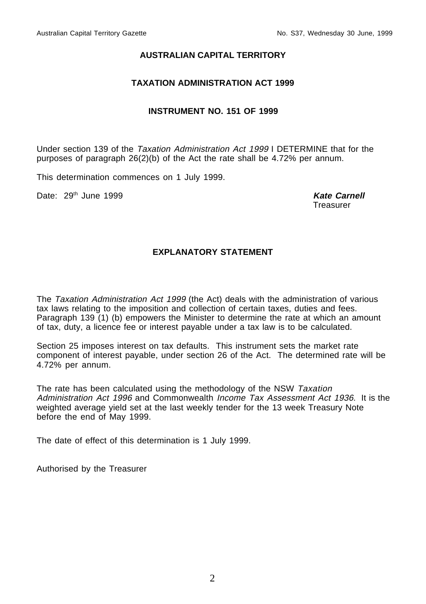#### **AUSTRALIAN CAPITAL TERRITORY**

#### **TAXATION ADMINISTRATION ACT 1999**

#### **INSTRUMENT NO. 151 OF 1999**

Under section 139 of the Taxation Administration Act 1999 I DETERMINE that for the purposes of paragraph 26(2)(b) of the Act the rate shall be 4.72% per annum.

This determination commences on 1 July 1999.

Date: 29<sup>th</sup> June 1999 **Kate Carnell** 

**Treasurer** 

#### **EXPLANATORY STATEMENT**

The Taxation Administration Act 1999 (the Act) deals with the administration of various tax laws relating to the imposition and collection of certain taxes, duties and fees. Paragraph 139 (1) (b) empowers the Minister to determine the rate at which an amount of tax, duty, a licence fee or interest payable under a tax law is to be calculated.

Section 25 imposes interest on tax defaults. This instrument sets the market rate component of interest payable, under section 26 of the Act. The determined rate will be 4.72% per annum.

The rate has been calculated using the methodology of the NSW Taxation Administration Act 1996 and Commonwealth Income Tax Assessment Act 1936. It is the weighted average yield set at the last weekly tender for the 13 week Treasury Note before the end of May 1999.

The date of effect of this determination is 1 July 1999.

Authorised by the Treasurer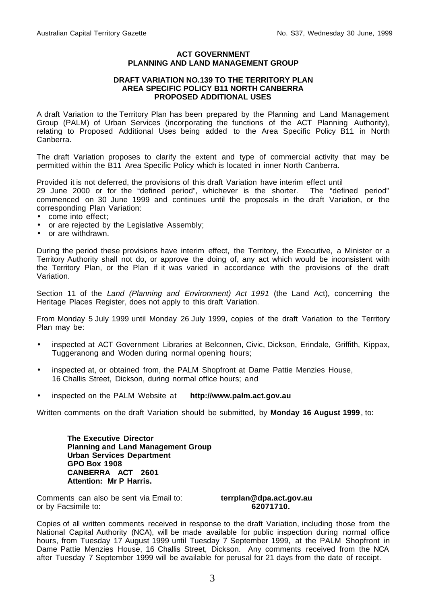#### **ACT GOVERNMENT PLANNING AND LAND MANAGEMENT GROUP**

#### **DRAFT VARIATION NO.139 TO THE TERRITORY PLAN AREA SPECIFIC POLICY B11 NORTH CANBERRA PROPOSED ADDITIONAL USES**

A draft Variation to the Territory Plan has been prepared by the Planning and Land Management Group (PALM) of Urban Services (incorporating the functions of the ACT Planning Authority), relating to Proposed Additional Uses being added to the Area Specific Policy B11 in North Canberra.

The draft Variation proposes to clarify the extent and type of commercial activity that may be permitted within the B11 Area Specific Policy which is located in inner North Canberra.

Provided it is not deferred, the provisions of this draft Variation have interim effect until 29 June 2000 or for the "defined period", whichever is the shorter. The "defined period" commenced on 30 June 1999 and continues until the proposals in the draft Variation, or the corresponding Plan Variation:

- come into effect;
- or are rejected by the Legislative Assembly;
- or are withdrawn.

During the period these provisions have interim effect, the Territory, the Executive, a Minister or a Territory Authority shall not do, or approve the doing of, any act which would be inconsistent with the Territory Plan, or the Plan if it was varied in accordance with the provisions of the draft Variation.

Section 11 of the Land (Planning and Environment) Act 1991 (the Land Act), concerning the Heritage Places Register, does not apply to this draft Variation.

From Monday 5 July 1999 until Monday 26 July 1999, copies of the draft Variation to the Territory Plan may be:

- inspected at ACT Government Libraries at Belconnen, Civic, Dickson, Erindale, Griffith, Kippax, Tuggeranong and Woden during normal opening hours;
- inspected at, or obtained from, the PALM Shopfront at Dame Pattie Menzies House, 16 Challis Street, Dickson, during normal office hours; and
- inspected on the PALM Website at **http://www.palm.act.gov.au**

Written comments on the draft Variation should be submitted, by **Monday 16 August 1999**, to:

**The Executive Director Planning and Land Management Group Urban Services Department GPO Box 1908 CANBERRA ACT 2601 Attention: Mr P Harris.**

Comments can also be sent via Email to: **terrplan@dpa.act.gov.au** or by Facsimile to: **62071710.**

Copies of all written comments received in response to the draft Variation, including those from the National Capital Authority (NCA), will be made available for public inspection during normal office hours, from Tuesday 17 August 1999 until Tuesday 7 September 1999, at the PALM Shopfront in Dame Pattie Menzies House, 16 Challis Street, Dickson. Any comments received from the NCA after Tuesday 7 September 1999 will be available for perusal for 21 days from the date of receipt.